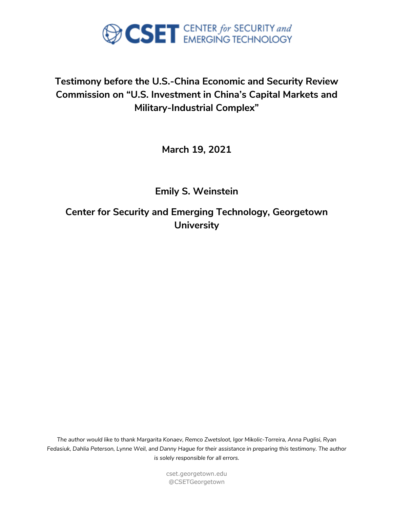

## **Testimony before the U.S.-China Economic and Security Review Commission on "U.S. Investment in China's Capital Markets and Military-Industrial Complex"**

**March 19, 2021**

**Emily S. Weinstein**

**Center for Security and Emerging Technology, Georgetown University**

*The author would like to thank Margarita Konaev, Remco Zwetsloot, Igor Mikolic-Torreira, Anna Puglisi, Ryan Fedasiuk, Dahlia Peterson, Lynne Weil, and Danny Hague for their assistance in preparing this testimony. The author is solely responsible for all errors.*

> cset.georgetown.edu @CSETGeorgetown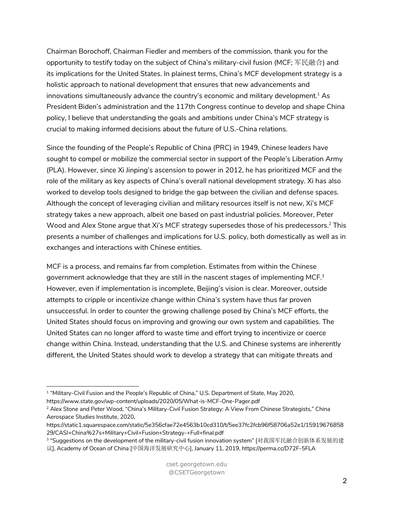Chairman Borochoff, Chairman Fiedler and members of the commission, thank you for the opportunity to testify today on the subject of China's military-civil fusion (MCF; 军民融合) and its implications for the United States. In plainest terms, China's MCF development strategy is a holistic approach to national development that ensures that new advancements and innovations simultaneously advance the country's economic and military development.<sup>1</sup> As President Biden's administration and the 117th Congress continue to develop and shape China policy, I believe that understanding the goals and ambitions under China's MCF strategy is crucial to making informed decisions about the future of U.S.-China relations.

Since the founding of the People's Republic of China (PRC) in 1949, Chinese leaders have sought to compel or mobilize the commercial sector in support of the People's Liberation Army (PLA). However, since Xi Jinping's ascension to power in 2012, he has prioritized MCF and the role of the military as key aspects of China's overall national development strategy. Xi has also worked to develop tools designed to bridge the gap between the civilian and defense spaces. Although the concept of leveraging civilian and military resources itself is not new, Xi's MCF strategy takes a new approach, albeit one based on past industrial policies. Moreover, Peter Wood and Alex Stone argue that Xi's MCF strategy supersedes those of his predecessors.<sup>2</sup> This presents a number of challenges and implications for U.S. policy, both domestically as well as in exchanges and interactions with Chinese entities.

MCF is a process, and remains far from completion. Estimates from within the Chinese government acknowledge that they are still in the nascent stages of implementing MCF. $3$ However, even if implementation is incomplete, Beijing's vision is clear. Moreover, outside attempts to cripple or incentivize change within China's system have thus far proven unsuccessful. In order to counter the growing challenge posed by China's MCF efforts, the United States should focus on improving and growing our own system and capabilities. The United States can no longer afford to waste time and effort trying to incentivize or coerce change within China. Instead, understanding that the U.S. and Chinese systems are inherently different, the United States should work to develop a strategy that can mitigate threats and

<sup>&</sup>lt;sup>1</sup> "Military-Civil Fusion and the People's Republic of China," U.S. Department of State, May 2020,

https://www.state.gov/wp-content/uploads/2020/05/What-is-MCF-One-Pager.pdf

<sup>&</sup>lt;sup>2</sup> Alex Stone and Peter Wood, "China's Military-Civil Fusion Strategy: A View From Chinese Strategists," China Aerospace Studies Institute, 2020,

https://static1.squarespace.com/static/5e356cfae72e4563b10cd310/t/5ee37fc2fcb96f58706a52e1/15919676858 29/CASI+China%27s+Military+Civil+Fusion+Strategy-+Full+final.pdf

<sup>&</sup>lt;sup>3</sup> "Suggestions on the development of the military-civil fusion innovation system" [对我国军民融合创新体系发展的建

议], Academy of Ocean of China [中国海洋发展研究中心], January 11, 2019, https://perma.cc/D72F-5FLA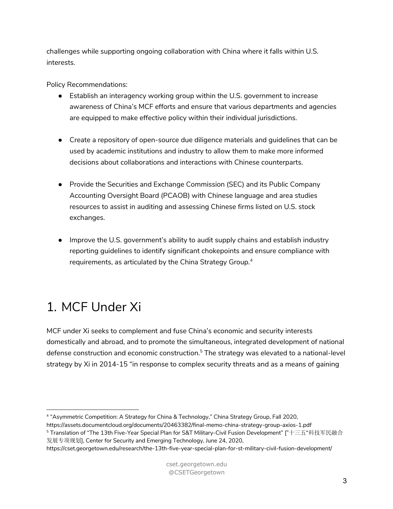challenges while supporting ongoing collaboration with China where it falls within U.S. interests.

Policy Recommendations:

- Establish an interagency working group within the U.S. government to increase awareness of China's MCF efforts and ensure that various departments and agencies are equipped to make effective policy within their individual jurisdictions.
- Create a repository of open-source due diligence materials and guidelines that can be used by academic institutions and industry to allow them to make more informed decisions about collaborations and interactions with Chinese counterparts.
- Provide the Securities and Exchange Commission (SEC) and its Public Company Accounting Oversight Board (PCAOB) with Chinese language and area studies resources to assist in auditing and assessing Chinese firms listed on U.S. stock exchanges.
- Improve the U.S. government's ability to audit supply chains and establish industry reporting guidelines to identify significant chokepoints and ensure compliance with requirements, as articulated by the China Strategy Group.4

# 1. MCF Under Xi

MCF under Xi seeks to complement and fuse China's economic and security interests domestically and abroad, and to promote the simultaneous, integrated development of national defense construction and economic construction.<sup>5</sup> The strategy was elevated to a national-level strategy by Xi in 2014-15 "in response to complex security threats and as a means of gaining

<sup>4</sup> "Asymmetric Competition: A Strategy for China & Technology," China Strategy Group, Fall 2020,

https://assets.documentcloud.org/documents/20463382/final-memo-china-strategy-group-axios-1.pdf <sup>5</sup> Translation of "The 13th Five-Year Special Plan for S&T Military-Civil Fusion Development" ["十三五"科技军民融合

发展专项规划], Center for Security and Emerging Technology, June 24, 2020, https://cset.georgetown.edu/research/the-13th-five-year-special-plan-for-st-military-civil-fusion-development/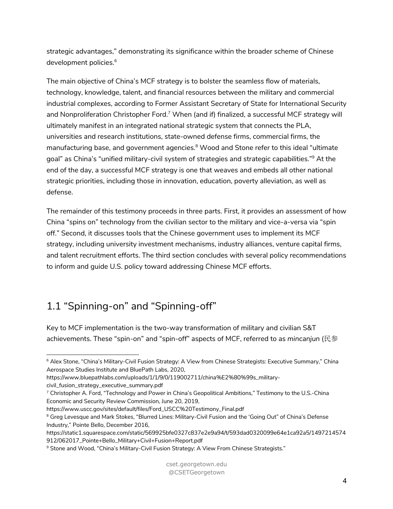strategic advantages," demonstrating its significance within the broader scheme of Chinese development policies.<sup>6</sup>

The main objective of China's MCF strategy is to bolster the seamless flow of materials, technology, knowledge, talent, and financial resources between the military and commercial industrial complexes, according to Former Assistant Secretary of State for International Security and Nonproliferation Christopher Ford.<sup>7</sup> When (and if) finalized, a successful MCF strategy will ultimately manifest in an integrated national strategic system that connects the PLA, universities and research institutions, state-owned defense firms, commercial firms, the manufacturing base, and government agencies.<sup>8</sup> Wood and Stone refer to this ideal "ultimate goal" as China's "unified military-civil system of strategies and strategic capabilities."9 At the end of the day, a successful MCF strategy is one that weaves and embeds all other national strategic priorities, including those in innovation, education, poverty alleviation, as well as defense.

The remainder of this testimony proceeds in three parts. First, it provides an assessment of how China "spins on" technology from the civilian sector to the military and vice-a-versa via "spin off." Second, it discusses tools that the Chinese government uses to implement its MCF strategy, including university investment mechanisms, industry alliances, venture capital firms, and talent recruitment efforts. The third section concludes with several policy recommendations to inform and guide U.S. policy toward addressing Chinese MCF efforts.

# 1.1 "Spinning-on" and "Spinning-off"

Key to MCF implementation is the two-way transformation of military and civilian S&T achievements. These "spin-on" and "spin-off" aspects of MCF, referred to as *mincanjun* (民参

civil\_fusion\_strategy\_executive\_summary.pdf

<sup>&</sup>lt;sup>6</sup> Alex Stone, "China's Military-Civil Fusion Strategy: A View from Chinese Strategists: Executive Summary," China Aerospace Studies Institute and BluePath Labs, 2020,

https://www.bluepathlabs.com/uploads/1/1/9/0/119002711/china%E2%80%99s\_military-

<sup>7</sup> Christopher A. Ford, "Technology and Power in China's Geopolitical Ambitions," Testimony to the U.S.-China Economic and Security Review Commission, June 20, 2019,

https://www.uscc.gov/sites/default/files/Ford\_USCC%20Testimony\_Final.pdf

<sup>&</sup>lt;sup>8</sup> Greg Levesque and Mark Stokes, "Blurred Lines: Military-Civil Fusion and the 'Going Out" of China's Defense Industry," Pointe Bello, December 2016,

https://static1.squarespace.com/static/569925bfe0327c837e2e9a94/t/593dad0320099e64e1ca92a5/1497214574 912/062017\_Pointe+Bello\_Military+Civil+Fusion+Report.pdf

<sup>&</sup>lt;sup>9</sup> Stone and Wood, "China's Military-Civil Fusion Strategy: A View From Chinese Strategists."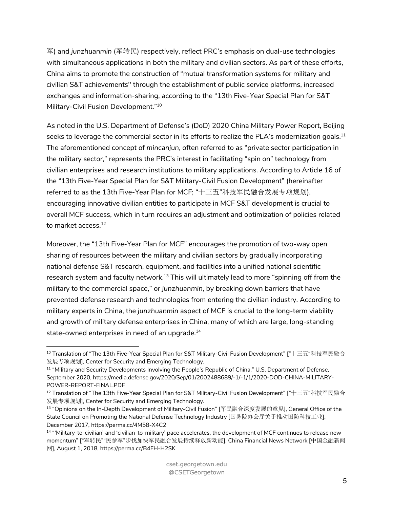军) and *junzhuanmin* (军转民) respectively, reflect PRC's emphasis on dual-use technologies with simultaneous applications in both the military and civilian sectors. As part of these efforts, China aims to promote the construction of "mutual transformation systems for military and civilian S&T achievements'' through the establishment of public service platforms, increased exchanges and information-sharing, according to the "13th Five-Year Special Plan for S&T Military-Civil Fusion Development."10

As noted in the U.S. Department of Defense's (DoD) 2020 China Military Power Report, Beijing seeks to leverage the commercial sector in its efforts to realize the PLA's modernization goals.<sup>11</sup> The aforementioned concept of *mincanjun*, often referred to as "private sector participation in the military sector," represents the PRC's interest in facilitating "spin on" technology from civilian enterprises and research institutions to military applications. According to Article 16 of the "13th Five-Year Special Plan for S&T Military-Civil Fusion Development" (hereinafter referred to as the 13th Five-Year Plan for MCF; "十三五"科技军民融合发展专项规划), encouraging innovative civilian entities to participate in MCF S&T development is crucial to overall MCF success, which in turn requires an adjustment and optimization of policies related to market access.<sup>12</sup>

Moreover, the "13th Five-Year Plan for MCF" encourages the promotion of two-way open sharing of resources between the military and civilian sectors by gradually incorporating national defense S&T research, equipment, and facilities into a unified national scientific research system and faculty network.<sup>13</sup> This will ultimately lead to more "spinning off from the military to the commercial space," or *junzhuanmin*, by breaking down barriers that have prevented defense research and technologies from entering the civilian industry. According to military experts in China, the *junzhuanmin* aspect of MCF is crucial to the long-term viability and growth of military defense enterprises in China, many of which are large, long-standing state-owned enterprises in need of an upgrade. $^{14}$ 

<sup>10</sup> Translation of "The 13th Five-Year Special Plan for S&T Military-Civil Fusion Development" ["十三五"科技军民融合 发展专项规划], Center for Security and Emerging Technology.

<sup>&</sup>lt;sup>11</sup> "Military and Security Developments Involving the People's Republic of China," U.S. Department of Defense, September 2020, https://media.defense.gov/2020/Sep/01/2002488689/-1/-1/1/2020-DOD-CHINA-MILITARY-POWER-REPORT-FINAL.PDF

<sup>12</sup> Translation of "The 13th Five-Year Special Plan for S&T Military-Civil Fusion Development" ["十三五"科技军民融合 发展专项规划], Center for Security and Emerging Technology.

<sup>13</sup> "Opinions on the In-Depth Development of Military-Civil Fusion" [军民融合深度发展的意见], General Office of the State Council on Promoting the National Defense Technology Industry [国务院办公厅关于推动国防科技工业], December 2017, https://perma.cc/4M58-X4C2

<sup>14</sup> "'Military-to-civilian' and 'civilian-to-military' pace accelerates, the development of MCF continues to release new momentum" ["军转民""民参军"步伐加快军民融合发展持续释放新动能], China Financial News Network [中国金融新闻 网], August 1, 2018, https://perma.cc/B4FH-H2SK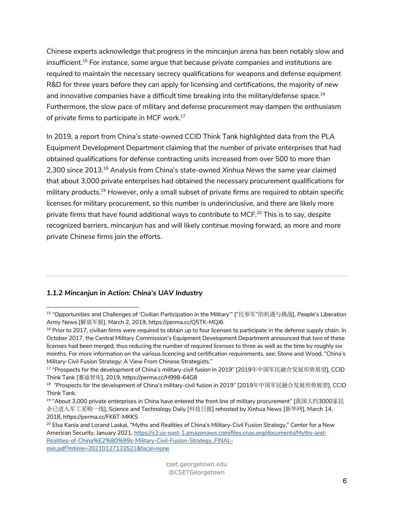Chinese experts acknowledge that progress in the *mincanjun* arena has been notably slow and insufficient.15 For instance, some argue that because private companies and institutions are required to maintain the necessary secrecy qualifications for weapons and defense equipment R&D for three years before they can apply for licensing and certifications, the majority of new and innovative companies have a difficult time breaking into the military/defense space.<sup>16</sup> Furthermore, the slow pace of military and defense procurement may dampen the enthusiasm of private firms to participate in MCF work.<sup>17</sup>

In 2019, a report from China's state-owned CCID Think Tank highlighted data from the PLA Equipment Development Department claiming that the number of private enterprises that had obtained qualifications for defense contracting units increased from over 500 to more than 2,300 since 2013.18 Analysis from China's state-owned *Xinhua News* the same year claimed that about 3,000 private enterprises had obtained the necessary procurement qualifications for military products.<sup>19</sup> However, only a small subset of private firms are required to obtain specific licenses for military procurement, so this number is underinclusive, and there are likely more private firms that have found additional ways to contribute to MCF.<sup>20</sup> This is to say, despite recognized barriers, *mincanjun* has and will likely continue moving forward, as more and more private Chinese firms join the efforts.

#### *1.1.2 Mincanjun in Action: China's UAV Industry*

<sup>15</sup> "Opportunities and Challenges of 'Civilian Participation in the Military'" ["民参军"的机遇与挑战], People's Liberation Army News [解放军报], March 2, 2019, https://perma.cc/Q5TK-MQJ6

 $16$  Prior to 2017, civilian firms were required to obtain up to four licenses to participate in the defense supply chain. In October 2017, the Central Military Commission's Equipment Development Department announced that two of these licenses had been merged, thus reducing the number of required licenses to three as well as the time by roughly six months. For more information on the various licencing and certification requirements, see: Stone and Wood, "China's Military-Civil Fusion Strategy: A View From Chinese Strategists."

<sup>17</sup> "Prospects for the development of China's military-civil fusion in 2019" [2019年中国军民融合发展形势展望], CCID Think Tank [赛迪智库], 2019, https://perma.cc/H998-64G8

<sup>&</sup>lt;sup>18</sup> "Prospects for the development of China's military-civil fusion in 2019" [2019年中国军民融合发展形势展望], CCID Think Tank.

<sup>&</sup>lt;sup>19</sup> "About 3,000 private enterprises in China have entered the front line of military procurement" [我国大约3000家民 企已进入军工采购一线], Science and Technology Daily [科技日报] rehosted by Xinhua News [新华网], March 14, 2018, https://perma.cc/FK6T-MKKS

<sup>&</sup>lt;sup>20</sup> Elsa Kania and Lorand Laskai, "Myths and Realities of China's Military-Civil Fusion Strategy," Center for a New American Security, January 2021, https://s3.us-east-1.amazonaws.com/files.cnas.org/documents/Myths-and-Realities-of-China%E2%80%99s-Military-Civil-Fusion-Strategy\_FINALmin.pdf?mtime=20210127133521&focal=none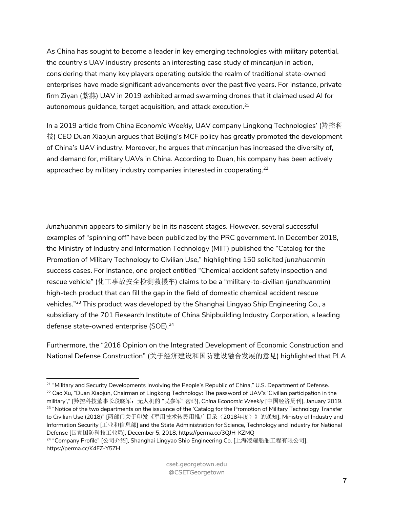As China has sought to become a leader in key emerging technologies with military potential, the country's UAV industry presents an interesting case study of *mincanjun* in action, considering that many key players operating outside the realm of traditional state-owned enterprises have made significant advancements over the past five years. For instance, private firm Ziyan (紫燕) UAV in 2019 exhibited armed swarming drones that it claimed used AI for autonomous guidance, target acquisition, and attack execution. $^{\mathrm{21}}$ 

In a 2019 article from *China Economic Weekly,* UAV company Lingkong Technologies' (羚控科 技) CEO Duan Xiaojun argues that Beijing's MCF policy has greatly promoted the development of China's UAV industry. Moreover, he argues that *mincanjun* has increased the diversity of, and demand for, military UAVs in China. According to Duan, his company has been actively approached by military industry companies interested in cooperating.<sup>22</sup>

*Junzhuanmin* appears to similarly be in its nascent stages. However, several successful examples of "spinning off" have been publicized by the PRC government. In December 2018, the Ministry of Industry and Information Technology (MIIT) published the "Catalog for the Promotion of Military Technology to Civilian Use," highlighting 150 solicited *junzhuanmin* success cases. For instance, one project entitled "Chemical accident safety inspection and rescue vehicle" (化工事故安全检测救援车) claims to be a "military-to-civilian (*junzhuanmin*) high-tech product that can fill the gap in the field of domestic chemical accident rescue vehicles."23 This product was developed by the Shanghai Lingyao Ship Engineering Co., a subsidiary of the 701 Research Institute of China Shipbuilding Industry Corporation, a leading defense state-owned enterprise (SOE).<sup>24</sup>

Furthermore, the "2016 Opinion on the Integrated Development of Economic Construction and National Defense Construction" (关于经济建设和国防建设融合发展的意见) highlighted that PLA

<sup>24</sup> "Company Profile" [公司介绍], Shanghai Lingyao Ship Engineering Co. [上海凌耀船舶工程有限公司], https://perma.cc/K4FZ-Y5ZH

<sup>&</sup>lt;sup>21</sup> "Military and Security Developments Involving the People's Republic of China," U.S. Department of Defense. <sup>22</sup> Cao Xu, "Duan Xiaojun, Chairman of Lingkong Technology: The password of UAV's 'Civilian participation in the military'," [羚控科技董事长段晓军:无人机的 "民参军" 密码], *China Economic Weekly* [中国经济周刊], January 2019. <sup>23</sup> "Notice of the two departments on the issuance of the 'Catalog for the Promotion of Military Technology Transfer to Civilian Use (2018)" [两部门关于印发《军用技术转民用推广目录(2018年度)》的通知], Ministry of Industry and Information Security [工业和信息部] and the State Administration for Science, Technology and Industry for National Defense [国家国防科技工业局], December 5, 2018, https://perma.cc/3QJH-KZMQ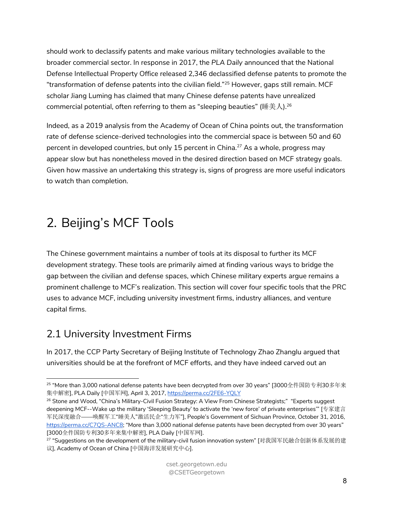should work to declassify patents and make various military technologies available to the broader commercial sector. In response in 2017, the *PLA Daily* announced that the National Defense Intellectual Property Office released 2,346 declassified defense patents to promote the "transformation of defense patents into the civilian field."25 However, gaps still remain. MCF scholar Jiang Luming has claimed that many Chinese defense patents have unrealized commercial potential, often referring to them as "sleeping beauties" (睡美人).<sup>26</sup>

Indeed, as a 2019 analysis from the Academy of Ocean of China points out, the transformation rate of defense science-derived technologies into the commercial space is between 50 and 60 percent in developed countries, but only 15 percent in China.<sup>27</sup> As a whole, progress may appear slow but has nonetheless moved in the desired direction based on MCF strategy goals. Given how massive an undertaking this strategy is, signs of progress are more useful indicators to watch than completion.

# 2. Beijing's MCF Tools

The Chinese government maintains a number of tools at its disposal to further its MCF development strategy. These tools are primarily aimed at finding various ways to bridge the gap between the civilian and defense spaces, which Chinese military experts argue remains a prominent challenge to MCF's realization. This section will cover four specific tools that the PRC uses to advance MCF, including university investment firms, industry alliances, and venture capital firms.

## 2.1 University Investment Firms

In 2017, the CCP Party Secretary of Beijing Institute of Technology Zhao Zhanglu argued that universities should be at the forefront of MCF efforts, and they have indeed carved out an

 $^{25}$  "More than 3,000 national defense patents have been decrypted from over 30 years" [3000全件国防专利30多年来 集中解密], PLA Daily [中国军网], April 3, 2017, https://perma.cc/2FE6-YQLY

<sup>&</sup>lt;sup>26</sup> Stone and Wood, "China's Military-Civil Fusion Strategy: A View From Chinese Strategists;" "Experts suggest deepening MCF--Wake up the military 'Sleeping Beauty' to activate the 'new force' of private enterprises'" [专家建言 军民深度融合——唤醒军工"睡美人"激活民企"生力军"], People's Government of Sichuan Province, October 31, 2016, https://perma.cc/C7QS-ANC8; "More than 3,000 national defense patents have been decrypted from over 30 years" [3000全件国防专利30多年来集中解密], PLA Daily [中国军网].

<sup>&</sup>lt;sup>27</sup> "Suggestions on the development of the military-civil fusion innovation system" [对我国军民融合创新体系发展的建 议], Academy of Ocean of China [中国海洋发展研究中心].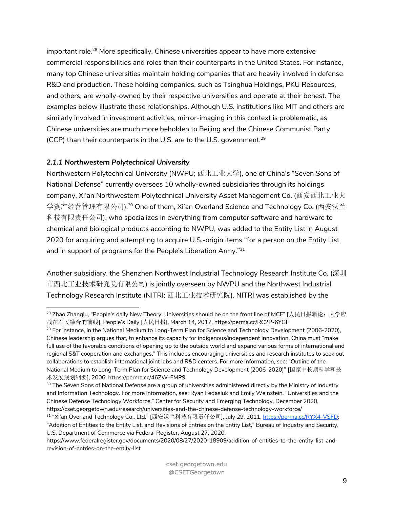important role.<sup>28</sup> More specifically, Chinese universities appear to have more extensive commercial responsibilities and roles than their counterparts in the United States. For instance, many top Chinese universities maintain holding companies that are heavily involved in defense R&D and production. These holding companies, such as Tsinghua Holdings, PKU Resources, and others, are wholly-owned by their respective universities and operate at their behest. The examples below illustrate these relationships. Although U.S. institutions like MIT and others are similarly involved in investment activities, mirror-imaging in this context is problematic, as Chinese universities are much more beholden to Beijing and the Chinese Communist Party (CCP) than their counterparts in the U.S. are to the U.S. government.<sup>29</sup>

#### *2.1.1 Northwestern Polytechnical University*

Northwestern Polytechnical University (NWPU; 西北工业大学), one of China's "Seven Sons of National Defense" currently oversees 10 wholly-owned subsidiaries through its holdings company, Xi'an Northwestern Polytechnical University Asset Management Co. (西安西北工业大 学资产经营管理有限公司).30 One of them, Xi'an Overland Science and Technology Co. (西安沃兰 科技有限责任公司), who specializes in everything from computer software and hardware to chemical and biological products according to NWPU, was added to the Entity List in August 2020 for acquiring and attempting to acquire U.S.-origin items "for a person on the Entity List and in support of programs for the People's Liberation Army."31

Another subsidiary, the Shenzhen Northwest Industrial Technology Research Institute Co. (深圳 市西北工业技术研究院有限公司) is jointly overseen by NWPU and the Northwest Industrial Technology Research Institute (NITRI; 西北工业技术研究院). NITRI was established by the

<sup>29</sup> For instance, in the National Medium to Long-Term Plan for Science and Technology Development (2006-2020), Chinese leadership argues that, to enhance its capacity for indigenous/independent innovation, China must "make full use of the favorable conditions of opening up to the outside world and expand various forms of international and regional S&T cooperation and exchanges." This includes encouraging universities and research institutes to seek out collaborations to establish international joint labs and R&D centers. For more information, see: "Outline of the National Medium to Long-Term Plan for Science and Technology Development (2006-2020)" [国家中长期科学和技 术发展规划纲要], 2006, https://perma.cc/46ZW-FMP9

 $^{28}$  Zhao Zhanglu, "People's daily New Theory: Universities should be on the front line of MCF" [人民日报新论:大学应 战在军民融合的前线], People's Daily [人民日报], March 14, 2017, https://perma.cc/RC2P-6YGF

<sup>&</sup>lt;sup>30</sup> The Seven Sons of National Defense are a group of universities administered directly by the Ministry of Industry and Information Technology. For more information, see: Ryan Fedasiuk and Emily Weinstein, "Universities and the Chinese Defense Technology Workforce," Center for Security and Emerging Technology, December 2020, https://cset.georgetown.edu/research/universities-and-the-chinese-defense-technology-workforce/

<sup>31 &</sup>quot;Xi'an Overland Technology Co., Ltd." [西安沃兰科技有限责任公司], July 29, 2011, https://perma.cc/RYX4-VSFD; "Addition of Entities to the Entity List, and Revisions of Entries on the Entity List," Bureau of Industry and Security, U.S. Department of Commerce via Federal Register, August 27, 2020,

https://www.federalregister.gov/documents/2020/08/27/2020-18909/addition-of-entities-to-the-entity-list-andrevision-of-entries-on-the-entity-list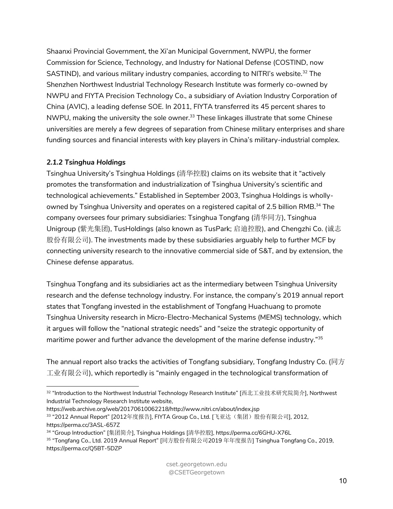Shaanxi Provincial Government, the Xi'an Municipal Government, NWPU, the former Commission for Science, Technology, and Industry for National Defense (COSTIND, now SASTIND), and various military industry companies, according to NITRI's website.<sup>32</sup> The Shenzhen Northwest Industrial Technology Research Institute was formerly co-owned by NWPU and FIYTA Precision Technology Co., a subsidiary of Aviation Industry Corporation of China (AVIC), a leading defense SOE. In 2011, FIYTA transferred its 45 percent shares to NWPU, making the university the sole owner.<sup>33</sup> These linkages illustrate that some Chinese universities are merely a few degrees of separation from Chinese military enterprises and share funding sources and financial interests with key players in China's military-industrial complex.

### *2.1.2 Tsinghua Holdings*

Tsinghua University's Tsinghua Holdings (清华控股) claims on its website that it "actively promotes the transformation and industrialization of Tsinghua University's scientific and technological achievements." Established in September 2003, Tsinghua Holdings is whollyowned by Tsinghua University and operates on a registered capital of 2.5 billion RMB.<sup>34</sup> The company oversees four primary subsidiaries: Tsinghua Tongfang (清华同方), Tsinghua Unigroup (紫光集团), TusHoldings (also known as TusPark; 启迪控股), and Chengzhi Co. (诚志 股份有限公司). The investments made by these subsidiaries arguably help to further MCF by connecting university research to the innovative commercial side of S&T, and by extension, the Chinese defense apparatus.

Tsinghua Tongfang and its subsidiaries act as the intermediary between Tsinghua University research and the defense technology industry. For instance, the company's 2019 annual report states that Tongfang invested in the establishment of Tongfang Huachuang to promote Tsinghua University research in Micro-Electro-Mechanical Systems (MEMS) technology, which it argues will follow the "national strategic needs" and "seize the strategic opportunity of maritime power and further advance the development of the marine defense industry."<sup>35</sup>

The annual report also tracks the activities of Tongfang subsidiary, Tongfang Industry Co. (同方 工业有限公司), which reportedly is "mainly engaged in the technological transformation of

<sup>32</sup> "Introduction to the Northwest Industrial Technology Research Institute" [西北工业技术研究院简介], Northwest Industrial Technology Research Institute website,

https://web.archive.org/web/20170610062218/http://www.nitri.cn/about/index.jsp

<sup>33 &</sup>quot;2012 Annual Report" [2012年度报告], FIYTA Group Co., Ltd. [飞亚达(集团)股份有限公司], 2012, https://perma.cc/3ASL-657Z

<sup>34</sup> "Group Introduction" [集团简介], Tsinghua Holdings [清华控股], https://perma.cc/6GHU-X76L

<sup>35</sup> "Tongfang Co., Ltd. 2019 Annual Report" [同方股份有限公司2019 年年度报告] Tsinghua Tongfang Co., 2019, https://perma.cc/Q5BT-5DZP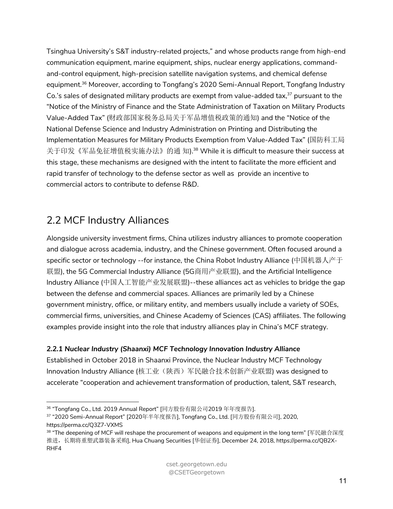Tsinghua University's S&T industry-related projects," and whose products range from high-end communication equipment, marine equipment, ships, nuclear energy applications, commandand-control equipment, high-precision satellite navigation systems, and chemical defense equipment.<sup>36</sup> Moreover, according to Tongfang's 2020 Semi-Annual Report, Tongfang Industry Co.'s sales of designated military products are exempt from value-added tax, $37$  pursuant to the "Notice of the Ministry of Finance and the State Administration of Taxation on Military Products Value-Added Tax" (财政部国家税务总局关于军品增值税政策的通知) and the "Notice of the National Defense Science and Industry Administration on Printing and Distributing the Implementation Measures for Military Products Exemption from Value-Added Tax" (国防科工局 关于印发《军品免征增值税实施办法》的通 知).<sup>38</sup> While it is difficult to measure their success at this stage, these mechanisms are designed with the intent to facilitate the more efficient and rapid transfer of technology to the defense sector as well as provide an incentive to commercial actors to contribute to defense R&D.

## 2.2 MCF Industry Alliances

Alongside university investment firms, China utilizes industry alliances to promote cooperation and dialogue across academia, industry, and the Chinese government. Often focused around a specific sector or technology --for instance, the China Robot Industry Alliance (中国机器人产于 联盟), the 5G Commercial Industry Alliance (5G商用产业联盟), and the Artificial Intelligence Industry Alliance (中国人工智能产业发展联盟)--these alliances act as vehicles to bridge the gap between the defense and commercial spaces. Alliances are primarily led by a Chinese government ministry, office, or military entity, and members usually include a variety of SOEs, commercial firms, universities, and Chinese Academy of Sciences (CAS) affiliates. The following examples provide insight into the role that industry alliances play in China's MCF strategy.

### *2.2.1 Nuclear Industry (Shaanxi) MCF Technology Innovation Industry Alliance*

Established in October 2018 in Shaanxi Province, the Nuclear Industry MCF Technology Innovation Industry Alliance (核工业(陕西)军民融合技术创新产业联盟) was designed to accelerate "cooperation and achievement transformation of production, talent, S&T research,

<sup>36</sup> "Tongfang Co., Ltd. 2019 Annual Report" [同方股份有限公司2019 年年度报告].

<sup>37</sup> "2020 Semi-Annual Report" [2020年半年度报告], Tongfang Co., Ltd. [同方股份有限公司], 2020, https://perma.cc/Q3Z7-VXMS

 $38$  "The deepening of MCF will reshape the procurement of weapons and equipment in the long term" [军民融合深度 推进,长期将重塑武器装备采购], Hua Chuang Securities [华创证券], December 24, 2018, https://perma.cc/QB2X-RHF4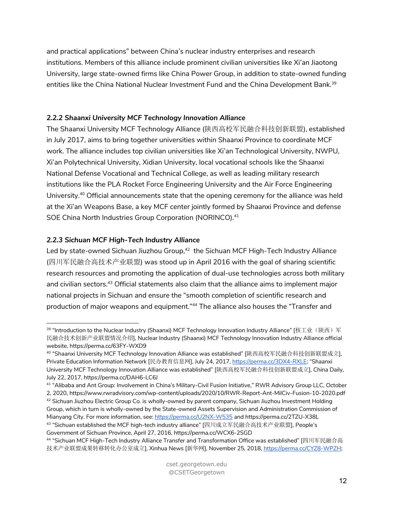and practical applications" between China's nuclear industry enterprises and research institutions. Members of this alliance include prominent civilian universities like Xi'an Jiaotong University, large state-owned firms like China Power Group, in addition to state-owned funding entities like the China National Nuclear Investment Fund and the China Development Bank.<sup>39</sup>

### *2.2.2 Shaanxi University MCF Technology Innovation Alliance*

The Shaanxi University MCF Technology Alliance (陕西高校军民融合科技创新联盟), established in July 2017, aims to bring together universities within Shaanxi Province to coordinate MCF work. The alliance includes top civilian universities like Xi'an Technological University, NWPU, Xi'an Polytechnical University, Xidian University, local vocational schools like the Shaanxi National Defense Vocational and Technical College, as well as leading military research institutions like the PLA Rocket Force Engineering University and the Air Force Engineering University.40 Official announcements state that the opening ceremony for the alliance was held at the Xi'an Weapons Base, a key MCF center jointly formed by Shaanxi Province and defense SOE China North Industries Group Corporation (NORINCO).<sup>41</sup>

### *2.2.3 Sichuan MCF High-Tech Industry Alliance*

Led by state-owned Sichuan Jiuzhou Group,<sup>42</sup> the Sichuan MCF High-Tech Industry Alliance (四川军民融合高技术产业联盟) was stood up in April 2016 with the goal of sharing scientific research resources and promoting the application of dual-use technologies across both military and civilian sectors.<sup>43</sup> Official statements also claim that the alliance aims to implement major national projects in Sichuan and ensure the "smooth completion of scientific research and production of major weapons and equipment."<sup>44</sup> The alliance also houses the "Transfer and

<sup>&</sup>lt;sup>39</sup> "Introduction to the Nuclear Industry (Shaanxi) MCF Technology Innovation Industry Alliance" [核工业(陕西)军 民融合技术创新产业联盟情况介绍], Nuclear Industry (Shaanxi) MCF Technology Innovation Industry Alliance official website, https://perma.cc/63FY-WXD9

<sup>40</sup> "Shaanxi University MCF Technology Innovation Alliance was established" [陕西高校军民融合科技创新联盟成立], Private Education Information Network [民办教育信息网], July 24, 2017, https://perma.cc/3DX4-RXLE; "Shaanxi University MCF Technology Innovation Alliance was established" [陕西高校军民融合科技创新联盟成立], China Daily, July 22, 2017, https://perma.cc/DAH6-LC6J

<sup>&</sup>lt;sup>41</sup> "Alibaba and Ant Group: Involvement in China's Military-Civil Fusion Initiative," RWR Advisory Group LLC, October 2, 2020, https://www.rwradvisory.com/wp-content/uploads/2020/10/RWR-Report-Ant-MilCiv-Fusion-10-2020.pdf

<sup>42</sup> Sichuan Jiuzhou Electric Group Co. is wholly-owned by parent company, Sichuan Jiuzhou Investment Holding

Group, which in turn is wholly-owned by the State-owned Assets Supervision and Administration Commission of Mianyang City. For more information, see: https://perma.cc/U2NX-W535 and https://perma.cc/2TZU-X38L <sup>43</sup> "Sichuan established the MCF high-tech industry alliance" [四川成立军民融合高技术产业联盟], People's Government of Sichuan Province, April 27, 2016, https://perma.cc/WCX6-2SGD

<sup>44</sup> "Sichuan MCF High-Tech Industry Alliance Transfer and Transformation Office was established" [四川军民融合高 技术产业联盟成果转移转化办公室成立], Xinhua News [新华网], November 25, 2018, https://perma.cc/CYZ8-WPZH;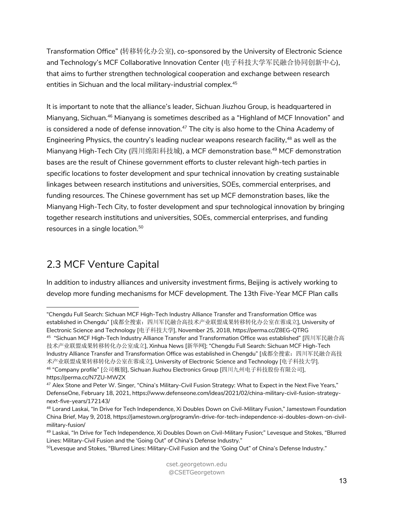Transformation Office" (转移转化办公室), co-sponsored by the University of Electronic Science and Technology's MCF Collaborative Innovation Center (电子科技大学军民融合协同创新中心), that aims to further strengthen technological cooperation and exchange between research entities in Sichuan and the local military-industrial complex.<sup>45</sup>

It is important to note that the alliance's leader, Sichuan Jiuzhou Group, is headquartered in Mianyang, Sichuan.46 Mianyang is sometimes described as a "Highland of MCF Innovation" and is considered a node of defense innovation.<sup>47</sup> The city is also home to the China Academy of Engineering Physics, the country's leading nuclear weapons research facility,<sup>48</sup> as well as the Mianyang High-Tech City (四川绵阳科技城), a MCF demonstration base.49 MCF demonstration bases are the result of Chinese government efforts to cluster relevant high-tech parties in specific locations to foster development and spur technical innovation by creating sustainable linkages between research institutions and universities, SOEs, commercial enterprises, and funding resources. The Chinese government has set up MCF demonstration bases, like the Mianyang High-Tech City, to foster development and spur technological innovation by bringing together research institutions and universities, SOEs, commercial enterprises, and funding resources in a single location.50

# 2.3 MCF Venture Capital

In addition to industry alliances and university investment firms, Beijing is actively working to develop more funding mechanisms for MCF development. The 13th Five-Year MCF Plan calls

<sup>&</sup>quot;Chengdu Full Search: Sichuan MCF High-Tech Industry Alliance Transfer and Transformation Office was established in Chengdu" [成都全搜索: 四川军民融合高技术产业联盟成果转移转化办公室在蓉成立], University of Electronic Science and Technology [电子科技大学], November 25, 2018, https://perma.cc/Z8EG-QTRG  $^{45}$  "Sichuan MCF High-Tech Industry Alliance Transfer and Transformation Office was established" [四川军民融合高

技术产业联盟成果转移转化办公室成立], Xinhua News [新华网]; "Chengdu Full Search: Sichuan MCF High-Tech Industry Alliance Transfer and Transformation Office was established in Chengdu" [成都全搜索:四川军民融合高技 术产业联盟成果转移转化办公室在蓉成立], University of Electronic Science and Technology [电子科技大学]. <sup>46</sup> "Company profile" [公司概貌], Sichuan Jiuzhou Electronics Group [四川九州电子科技股份有限公司], https://perma.cc/N7ZU-MWZX

<sup>&</sup>lt;sup>47</sup> Alex Stone and Peter W. Singer, "China's Military-Civil Fusion Strategy: What to Expect in the Next Five Years," DefenseOne, February 18, 2021, https://www.defenseone.com/ideas/2021/02/china-military-civil-fusion-strategynext-five-years/172143/

<sup>48</sup> Lorand Laskai, "In Drive for Tech Independence, Xi Doubles Down on Civil-Military Fusion," Jamestown Foundation China Brief, May 9, 2018, https://jamestown.org/program/in-drive-for-tech-independence-xi-doubles-down-on-civilmilitary-fusion/

<sup>49</sup> Laskai, "In Drive for Tech Independence, Xi Doubles Down on Civil-Military Fusion;" Levesque and Stokes, "Blurred Lines: Military-Civil Fusion and the 'Going Out" of China's Defense Industry."

<sup>&</sup>lt;sup>50</sup>Levesque and Stokes, "Blurred Lines: Military-Civil Fusion and the 'Going Out" of China's Defense Industry."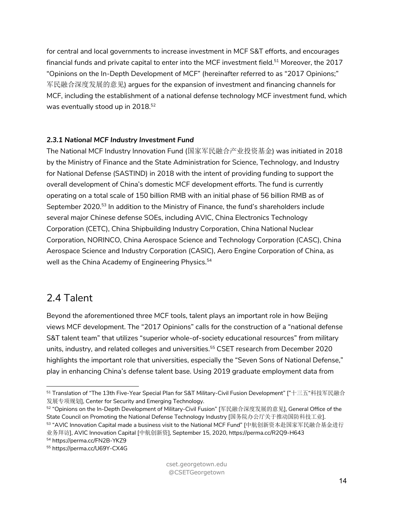for central and local governments to increase investment in MCF S&T efforts, and encourages financial funds and private capital to enter into the MCF investment field.51 Moreover, the 2017 "Opinions on the In-Depth Development of MCF" (hereinafter referred to as "2017 Opinions;" 军民融合深度发展的意见) argues for the expansion of investment and financing channels for MCF, including the establishment of a national defense technology MCF investment fund, which was eventually stood up in 2018.<sup>52</sup>

#### *2.3.1 National MCF Industry Investment Fund*

The National MCF Industry Innovation Fund (国家军民融合产业投资基金) was initiated in 2018 by the Ministry of Finance and the State Administration for Science, Technology, and Industry for National Defense (SASTIND) in 2018 with the intent of providing funding to support the overall development of China's domestic MCF development efforts. The fund is currently operating on a total scale of 150 billion RMB with an initial phase of 56 billion RMB as of September 2020.<sup>53</sup> In addition to the Ministry of Finance, the fund's shareholders include several major Chinese defense SOEs, including AVIC, China Electronics Technology Corporation (CETC), China Shipbuilding Industry Corporation, China National Nuclear Corporation, NORINCO, China Aerospace Science and Technology Corporation (CASC), China Aerospace Science and Industry Corporation (CASIC), Aero Engine Corporation of China, as well as the China Academy of Engineering Physics.<sup>54</sup>

### 2.4 Talent

Beyond the aforementioned three MCF tools, talent plays an important role in how Beijing views MCF development. The "2017 Opinions" calls for the construction of a "national defense S&T talent team" that utilizes "superior whole-of-society educational resources" from military units, industry, and related colleges and universities.55 CSET research from December 2020 highlights the important role that universities, especially the "Seven Sons of National Defense," play in enhancing China's defense talent base. Using 2019 graduate employment data from

<sup>51</sup> Translation of "The 13th Five-Year Special Plan for S&T Military-Civil Fusion Development" ["十三五"科技军民融合 发展专项规划], Center for Security and Emerging Technology.

<sup>52</sup> "Opinions on the In-Depth Development of Military-Civil Fusion" [军民融合深度发展的意见], General Office of the State Council on Promoting the National Defense Technology Industry [国务院办公厅关于推动国防科技工业]. <sup>53</sup> "AVIC Innovation Capital made a business visit to the National MCF Fund" [中航创新资本赴国家军民融合基金进行

业务拜访], AVIC Innovation Capital [中航创新资], September 15, 2020, https://perma.cc/R2Q9-H643

<sup>54</sup> https://perma.cc/FN2B-YKZ9

<sup>55</sup> https://perma.cc/U69Y-CX4G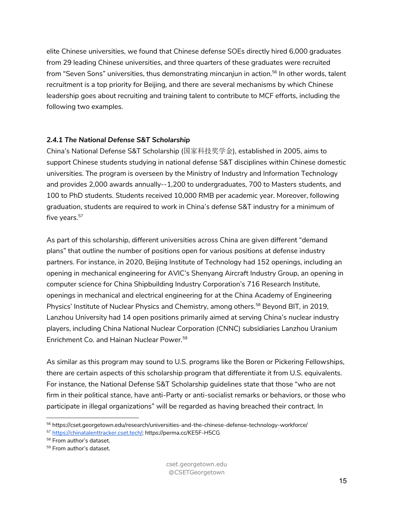elite Chinese universities, we found that Chinese defense SOEs directly hired 6,000 graduates from 29 leading Chinese universities, and three quarters of these graduates were recruited from "Seven Sons" universities, thus demonstrating *mincanjun* in action.56 In other words, talent recruitment is a top priority for Beijing, and there are several mechanisms by which Chinese leadership goes about recruiting and training talent to contribute to MCF efforts, including the following two examples.

#### *2.4.1 The National Defense S&T Scholarship*

China's National Defense S&T Scholarship (国家科技奖学金), established in 2005, aims to support Chinese students studying in national defense S&T disciplines within Chinese domestic universities. The program is overseen by the Ministry of Industry and Information Technology and provides 2,000 awards annually--1,200 to undergraduates, 700 to Masters students, and 100 to PhD students. Students received 10,000 RMB per academic year. Moreover, following graduation, students are required to work in China's defense S&T industry for a minimum of five years.<sup>57</sup>

As part of this scholarship, different universities across China are given different "demand plans" that outline the number of positions open for various positions at defense industry partners. For instance, in 2020, Beijing Institute of Technology had 152 openings, including an opening in mechanical engineering for AVIC's Shenyang Aircraft Industry Group, an opening in computer science for China Shipbuilding Industry Corporation's 716 Research Institute, openings in mechanical and electrical engineering for at the China Academy of Engineering Physics' Institute of Nuclear Physics and Chemistry, among others.<sup>58</sup> Beyond BIT, in 2019, Lanzhou University had 14 open positions primarily aimed at serving China's nuclear industry players, including China National Nuclear Corporation (CNNC) subsidiaries Lanzhou Uranium Enrichment Co. and Hainan Nuclear Power.<sup>59</sup>

As similar as this program may sound to U.S. programs like the Boren or Pickering Fellowships, there are certain aspects of this scholarship program that differentiate it from U.S. equivalents. For instance, the National Defense S&T Scholarship guidelines state that those "who are not firm in their political stance, have anti-Party or anti-socialist remarks or behaviors, or those who participate in illegal organizations" will be regarded as having breached their contract. In

<sup>56</sup> https://cset.georgetown.edu/research/universities-and-the-chinese-defense-technology-workforce/

<sup>57</sup> https://chinatalenttracker.cset.tech/; https://perma.cc/KE5F-H5CG

<sup>58</sup> From author's dataset.

<sup>59</sup> From author's dataset.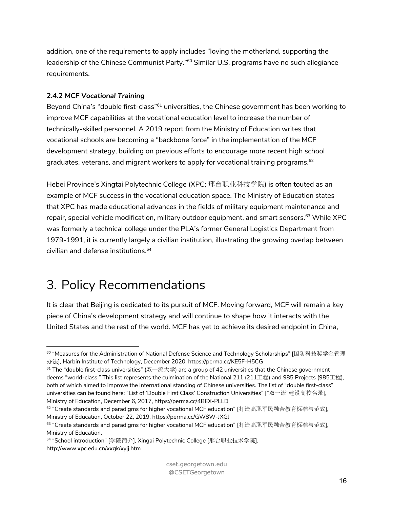addition, one of the requirements to apply includes "loving the motherland, supporting the leadership of the Chinese Communist Party."<sup>60</sup> Similar U.S. programs have no such allegiance requirements.

#### *2.4.2 MCF Vocational Training*

Beyond China's "double first-class"<sup>61</sup> universities, the Chinese government has been working to improve MCF capabilities at the vocational education level to increase the number of technically-skilled personnel. A 2019 report from the Ministry of Education writes that vocational schools are becoming a "backbone force" in the implementation of the MCF development strategy, building on previous efforts to encourage more recent high school graduates, veterans, and migrant workers to apply for vocational training programs.<sup>62</sup>

Hebei Province's Xingtai Polytechnic College (XPC; 邢台职业科技学院) is often touted as an example of MCF success in the vocational education space. The Ministry of Education states that XPC has made educational advances in the fields of military equipment maintenance and repair, special vehicle modification, military outdoor equipment, and smart sensors.<sup>63</sup> While XPC was formerly a technical college under the PLA's former General Logistics Department from 1979-1991, it is currently largely a civilian institution, illustrating the growing overlap between civilian and defense institutions.64

# 3. Policy Recommendations

It is clear that Beijing is dedicated to its pursuit of MCF. Moving forward, MCF will remain a key piece of China's development strategy and will continue to shape how it interacts with the United States and the rest of the world. MCF has yet to achieve its desired endpoint in China,

<sup>60</sup> "Measures for the Administration of National Defense Science and Technology Scholarships" [国防科技奖学金管理 办法], Harbin Institute of Technology, December 2020, https://perma.cc/KE5F-H5CG

 $61$  The "double first-class universities" (双一流大学) are a group of 42 universities that the Chinese government deems "world-class." This list represents the culmination of the National 211 (211工程) and 985 Projects (985工程), both of which aimed to improve the international standing of Chinese universities. The list of "double first-class" universities can be found here: "List of 'Double First Class' Construction Universities" ["双一流"建设高校名录], Ministry of Education, December 6, 2017, https://perma.cc/4BEX-PLLD

<sup>&</sup>lt;sup>62</sup> "Create standards and paradigms for higher vocational MCF education" [打造高职军民融合教育标准与范式], Ministry of Education, October 22, 2019, https://perma.cc/GW8W-JXGJ

<sup>63</sup> "Create standards and paradigms for higher vocational MCF education" [打造高职军民融合教育标准与范式], Ministry of Education.

<sup>&</sup>lt;sup>64</sup> "School introduction" [学院简介], Xingai Polytechnic College [邢台职业技术学院], http://www.xpc.edu.cn/xxgk/xyjj.htm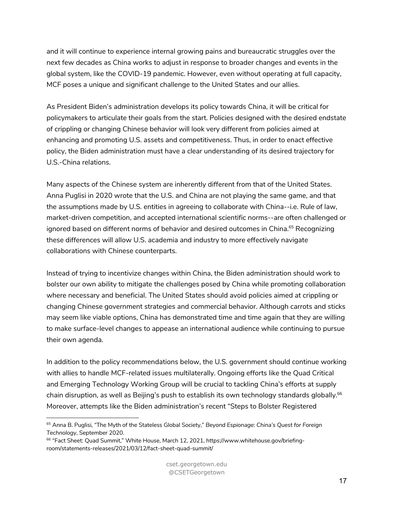and it will continue to experience internal growing pains and bureaucratic struggles over the next few decades as China works to adjust in response to broader changes and events in the global system, like the COVID-19 pandemic. However, even without operating at full capacity, MCF poses a unique and significant challenge to the United States and our allies.

As President Biden's administration develops its policy towards China, it will be critical for policymakers to articulate their goals from the start. Policies designed with the desired endstate of crippling or changing Chinese behavior will look very different from policies aimed at enhancing and promoting U.S. assets and competitiveness. Thus, in order to enact effective policy, the Biden administration must have a clear understanding of its desired trajectory for U.S.-China relations.

Many aspects of the Chinese system are inherently different from that of the United States. Anna Puglisi in 2020 wrote that the U.S. and China are not playing the same game, and that the assumptions made by U.S. entities in agreeing to collaborate with China--i.e. Rule of law, market-driven competition, and accepted international scientific norms--are often challenged or ignored based on different norms of behavior and desired outcomes in China.<sup>65</sup> Recognizing these differences will allow U.S. academia and industry to more effectively navigate collaborations with Chinese counterparts.

Instead of trying to incentivize changes within China, the Biden administration should work to bolster our own ability to mitigate the challenges posed by China while promoting collaboration where necessary and beneficial. The United States should avoid policies aimed at crippling or changing Chinese government strategies and commercial behavior. Although carrots and sticks may seem like viable options, China has demonstrated time and time again that they are willing to make surface-level changes to appease an international audience while continuing to pursue their own agenda.

In addition to the policy recommendations below, the U.S. government should continue working with allies to handle MCF-related issues multilaterally. Ongoing efforts like the Quad Critical and Emerging Technology Working Group will be crucial to tackling China's efforts at supply chain disruption, as well as Beijing's push to establish its own technology standards globally.<sup>66</sup> Moreover, attempts like the Biden administration's recent "Steps to Bolster Registered

<sup>65</sup> Anna B. Puglisi, "The Myth of the Stateless Global Society," *Beyond Espionage: China's Quest for Foreign Technology*, September 2020.

<sup>&</sup>lt;sup>66</sup> "Fact Sheet: Quad Summit," White House, March 12, 2021, https://www.whitehouse.gov/briefingroom/statements-releases/2021/03/12/fact-sheet-quad-summit/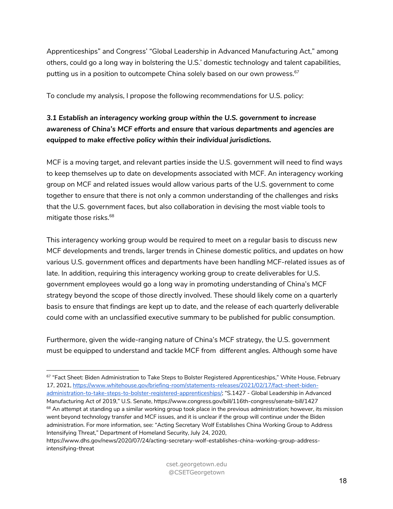Apprenticeships" and Congress' "Global Leadership in Advanced Manufacturing Act," among others, could go a long way in bolstering the U.S.' domestic technology and talent capabilities, putting us in a position to outcompete China solely based on our own prowess.<sup>67</sup>

To conclude my analysis, I propose the following recommendations for U.S. policy:

### *3.1 Establish an interagency working group within the U.S. government to increase awareness of China's MCF efforts and ensure that various departments and agencies are equipped to make effective policy within their individual jurisdictions.*

MCF is a moving target, and relevant parties inside the U.S. government will need to find ways to keep themselves up to date on developments associated with MCF. An interagency working group on MCF and related issues would allow various parts of the U.S. government to come together to ensure that there is not only a common understanding of the challenges and risks that the U.S. government faces, but also collaboration in devising the most viable tools to mitigate those risks.<sup>68</sup>

This interagency working group would be required to meet on a regular basis to discuss new MCF developments and trends, larger trends in Chinese domestic politics, and updates on how various U.S. government offices and departments have been handling MCF-related issues as of late. In addition, requiring this interagency working group to create deliverables for U.S. government employees would go a long way in promoting understanding of China's MCF strategy beyond the scope of those directly involved. These should likely come on a quarterly basis to ensure that findings are kept up to date, and the release of each quarterly deliverable could come with an unclassified executive summary to be published for public consumption.

Furthermore, given the wide-ranging nature of China's MCF strategy, the U.S. government must be equipped to understand and tackle MCF from different angles. Although some have

<sup>67 &</sup>quot;Fact Sheet: Biden Administration to Take Steps to Bolster Registered Apprenticeships," White House, February 17, 2021, https://www.whitehouse.gov/briefing-room/statements-releases/2021/02/17/fact-sheet-bidenadministration-to-take-steps-to-bolster-registered-apprenticeships/; "S.1427 - Global Leadership in Advanced Manufacturing Act of 2019," U.S. Senate, https://www.congress.gov/bill/116th-congress/senate-bill/1427  $68$  An attempt at standing up a similar working group took place in the previous administration; however, its mission went beyond technology transfer and MCF issues, and it is unclear if the group will continue under the Biden administration. For more information, see: "Acting Secretary Wolf Establishes China Working Group to Address Intensifying Threat," Department of Homeland Security, July 24, 2020,

https://www.dhs.gov/news/2020/07/24/acting-secretary-wolf-establishes-china-working-group-addressintensifying-threat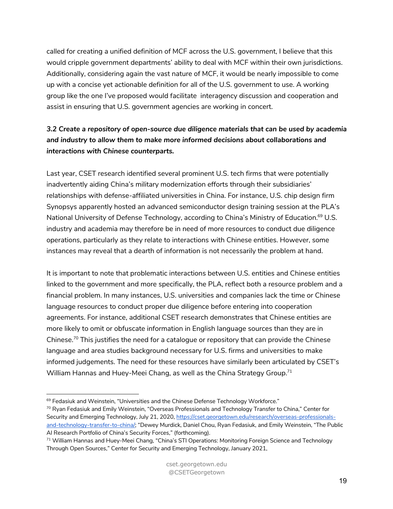called for creating a unified definition of MCF across the U.S. government, I believe that this would cripple government departments' ability to deal with MCF within their own jurisdictions. Additionally, considering again the vast nature of MCF, it would be nearly impossible to come up with a concise yet actionable definition for all of the U.S. government to use. A working group like the one I've proposed would facilitate interagency discussion and cooperation and assist in ensuring that U.S. government agencies are working in concert.

### *3.2 Create a repository of open-source due diligence materials that can be used by academia and industry to allow them to make more informed decisions about collaborations and interactions with Chinese counterparts.*

Last year, CSET research identified several prominent U.S. tech firms that were potentially inadvertently aiding China's military modernization efforts through their subsidiaries' relationships with defense-affiliated universities in China. For instance, U.S. chip design firm Synopsys apparently hosted an advanced semiconductor design training session at the PLA's National University of Defense Technology, according to China's Ministry of Education.<sup>69</sup> U.S. industry and academia may therefore be in need of more resources to conduct due diligence operations, particularly as they relate to interactions with Chinese entities. However, some instances may reveal that a dearth of information is not necessarily the problem at hand.

It is important to note that problematic interactions between U.S. entities and Chinese entities linked to the government and more specifically, the PLA, reflect both a resource problem and a financial problem. In many instances, U.S. universities and companies lack the time or Chinese language resources to conduct proper due diligence before entering into cooperation agreements. For instance, additional CSET research demonstrates that Chinese entities are more likely to omit or obfuscate information in English language sources than they are in Chinese.<sup>70</sup> This justifies the need for a catalogue or repository that can provide the Chinese language and area studies background necessary for U.S. firms and universities to make informed judgements. The need for these resources have similarly been articulated by CSET's William Hannas and Huey-Meei Chang, as well as the China Strategy Group.<sup>71</sup>

<sup>&</sup>lt;sup>69</sup> Fedasiuk and Weinstein, "Universities and the Chinese Defense Technology Workforce."

<sup>&</sup>lt;sup>70</sup> Ryan Fedasiuk and Emily Weinstein, "Overseas Professionals and Technology Transfer to China," Center for Security and Emerging Technology, July 21, 2020, https://cset.georgetown.edu/research/overseas-professionalsand-technology-transfer-to-china/; "Dewey Murdick, Daniel Chou, Ryan Fedasiuk, and Emily Weinstein, "The Public AI Research Portfolio of China's Security Forces," (forthcoming).

<sup>&</sup>lt;sup>71</sup> William Hannas and Huey-Meei Chang, "China's STI Operations: Monitoring Foreign Science and Technology Through Open Sources," Center for Security and Emerging Technology, January 2021,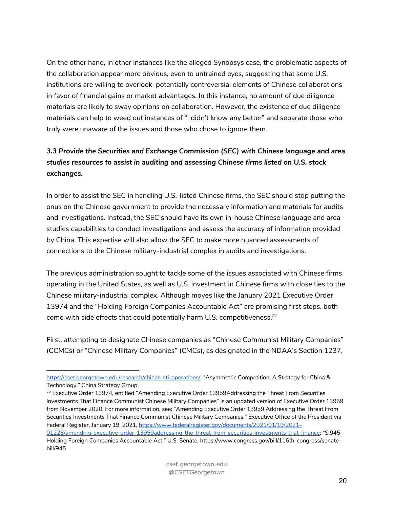On the other hand, in other instances like the alleged Synopsys case, the problematic aspects of the collaboration appear more obvious, even to untrained eyes, suggesting that some U.S. institutions are willing to overlook potentially controversial elements of Chinese collaborations in favor of financial gains or market advantages. In this instance, no amount of due diligence materials are likely to sway opinions on collaboration. However, the existence of due diligence materials can help to weed out instances of "I didn't know any better" and separate those who truly were unaware of the issues and those who chose to ignore them.

### *3.3 Provide the Securities and Exchange Commission (SEC) with Chinese language and area studies resources to assist in auditing and assessing Chinese firms listed on U.S. stock exchanges.*

In order to assist the SEC in handling U.S.-listed Chinese firms, the SEC should stop putting the onus on the Chinese government to provide the necessary information and materials for audits and investigations. Instead, the SEC should have its own in-house Chinese language and area studies capabilities to conduct investigations and assess the accuracy of information provided by China. This expertise will also allow the SEC to make more nuanced assessments of connections to the Chinese military-industrial complex in audits and investigations.

The previous administration sought to tackle some of the issues associated with Chinese firms operating in the United States, as well as U.S. investment in Chinese firms with close ties to the Chinese military-industrial complex. Although moves like the January 2021 Executive Order 13974 and the "Holding Foreign Companies Accountable Act" are promising first steps, both come with side effects that could potentially harm U.S. competitiveness.<sup>72</sup>

First, attempting to designate Chinese companies as "Chinese Communist Military Companies" (CCMCs) or "Chinese Military Companies" (CMCs), as designated in the NDAA's Section 1237,

https://cset.georgetown.edu/research/chinas-sti-operations/; "Asymmetric Competition: A Strategy for China & Technology," China Strategy Group.

<sup>&</sup>lt;sup>72</sup> Executive Order 13974, entitled "Amending Executive Order 13959Addressing the Threat From Securities Investments That Finance Communist Chinese Military Companies" is an updated version of Executive Order 13959 from November 2020. For more information, see: "Amending Executive Order 13959 Addressing the Threat From Securities Investments That Finance Communist Chinese Military Companies," Executive Office of the President via Federal Register, January 19, 2021, https://www.federalregister.gov/documents/2021/01/19/2021-

<sup>01228/</sup>amending-executive-order-13959addressing-the-threat-from-securities-investments-that-finance; "S.945 - Holding Foreign Companies Accountable Act," U.S. Senate, https://www.congress.gov/bill/116th-congress/senatebill/945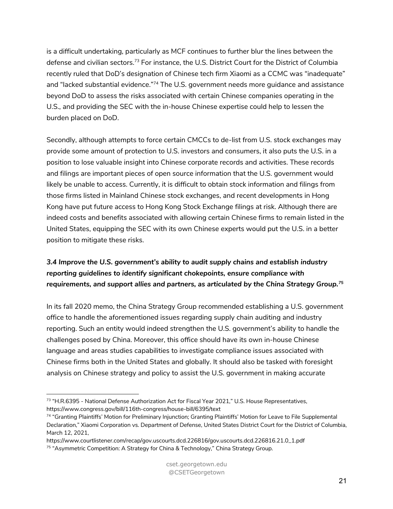is a difficult undertaking, particularly as MCF continues to further blur the lines between the defense and civilian sectors.73 For instance, the U.S. District Court for the District of Columbia recently ruled that DoD's designation of Chinese tech firm Xiaomi as a CCMC was "inadequate" and "lacked substantial evidence."<sup>74</sup> The U.S. government needs more guidance and assistance beyond DoD to assess the risks associated with certain Chinese companies operating in the U.S., and providing the SEC with the in-house Chinese expertise could help to lessen the burden placed on DoD.

Secondly, although attempts to force certain CMCCs to de-list from U.S. stock exchanges may provide some amount of protection to U.S. investors and consumers, it also puts the U.S. in a position to lose valuable insight into Chinese corporate records and activities. These records and filings are important pieces of open source information that the U.S. government would likely be unable to access. Currently, it is difficult to obtain stock information and filings from those firms listed in Mainland Chinese stock exchanges, and recent developments in Hong Kong have put future access to Hong Kong Stock Exchange filings at risk. Although there are indeed costs and benefits associated with allowing certain Chinese firms to remain listed in the United States, equipping the SEC with its own Chinese experts would put the U.S. in a better position to mitigate these risks.

### *3.4 Improve the U.S. government's ability to audit supply chains and establish industry reporting guidelines to identify significant chokepoints, ensure compliance with requirements, and support allies and partners, as articulated by the China Strategy Group.75*

In its fall 2020 memo, the China Strategy Group recommended establishing a U.S. government office to handle the aforementioned issues regarding supply chain auditing and industry reporting. Such an entity would indeed strengthen the U.S. government's ability to handle the challenges posed by China. Moreover, this office should have its own in-house Chinese language and areas studies capabilities to investigate compliance issues associated with Chinese firms both in the United States and globally. It should also be tasked with foresight analysis on Chinese strategy and policy to assist the U.S. government in making accurate

<sup>&</sup>lt;sup>73</sup> "H.R.6395 - National Defense Authorization Act for Fiscal Year 2021," U.S. House Representatives, https://www.congress.gov/bill/116th-congress/house-bill/6395/text

<sup>74 &</sup>quot;Granting Plaintiffs' Motion for Preliminary Injunction; Granting Plaintiffs' Motion for Leave to File Supplemental Declaration," Xiaomi Corporation vs. Department of Defense, United States District Court for the District of Columbia, March 12, 2021,

https://www.courtlistener.com/recap/gov.uscourts.dcd.226816/gov.uscourts.dcd.226816.21.0\_1.pdf

<sup>&</sup>lt;sup>75</sup> "Asymmetric Competition: A Strategy for China & Technology," China Strategy Group.